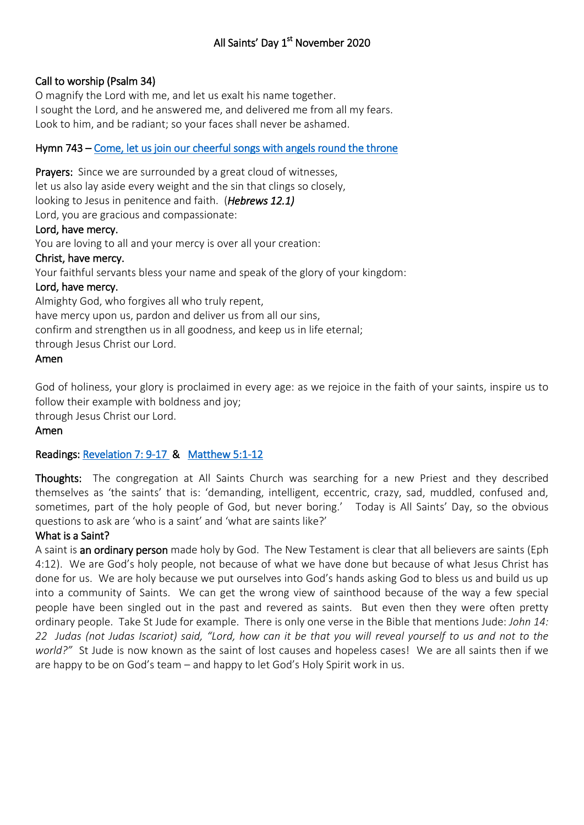# Call to worship (Psalm 34)

O magnify the Lord with me, and let us exalt his name together. I sought the Lord, and he answered me, and delivered me from all my fears. Look to him, and be radiant; so your faces shall never be ashamed.

# Hymn 743 – [Come, let us join our cheerful songs with angels round the throne](https://www.youtube.com/watch?v=J3ZqQcVlMTE)

Prayers: Since we are surrounded by a great cloud of witnesses, let us also lay aside every weight and the sin that clings so closely, looking to Jesus in penitence and faith. (*Hebrews 12.1)* Lord, you are gracious and compassionate: Lord, have mercy. You are loving to all and your mercy is over all your creation: Christ, have mercy. Your faithful servants bless your name and speak of the glory of your kingdom: Lord, have mercy. Almighty God, who forgives all who truly repent, have mercy upon us, pardon and deliver us from all our sins,

confirm and strengthen us in all goodness, and keep us in life eternal;

through Jesus Christ our Lord.

### Amen

God of holiness, your glory is proclaimed in every age: as we rejoice in the faith of your saints, inspire us to follow their example with boldness and joy;

through Jesus Christ our Lord.

### Amen

# Readings: [Revelation 7: 9-17](https://www.biblegateway.com/passage/?search=Revelation+7%3A+9-17++&version=NIV) & [Matthew 5:1-12](https://www.biblegateway.com/passage/?search=Matthew+5%3A1-12&version=NIV)

Thoughts: The congregation at All Saints Church was searching for a new Priest and they described themselves as 'the saints' that is: 'demanding, intelligent, eccentric, crazy, sad, muddled, confused and, sometimes, part of the holy people of God, but never boring.' Today is All Saints' Day, so the obvious questions to ask are 'who is a saint' and 'what are saints like?'

### What is a Saint?

A saint is an ordinary person made holy by God. The New Testament is clear that all believers are saints (Eph 4:12). We are God's holy people, not because of what we have done but because of what Jesus Christ has done for us. We are holy because we put ourselves into God's hands asking God to bless us and build us up into a community of Saints. We can get the wrong view of sainthood because of the way a few special people have been singled out in the past and revered as saints. But even then they were often pretty ordinary people. Take St Jude for example. There is only one verse in the Bible that mentions Jude: *John 14: 22 Judas (not Judas Iscariot) said, "Lord, how can it be that you will reveal yourself to us and not to the world?"* St Jude is now known as the saint of lost causes and hopeless cases! We are all saints then if we are happy to be on God's team – and happy to let God's Holy Spirit work in us.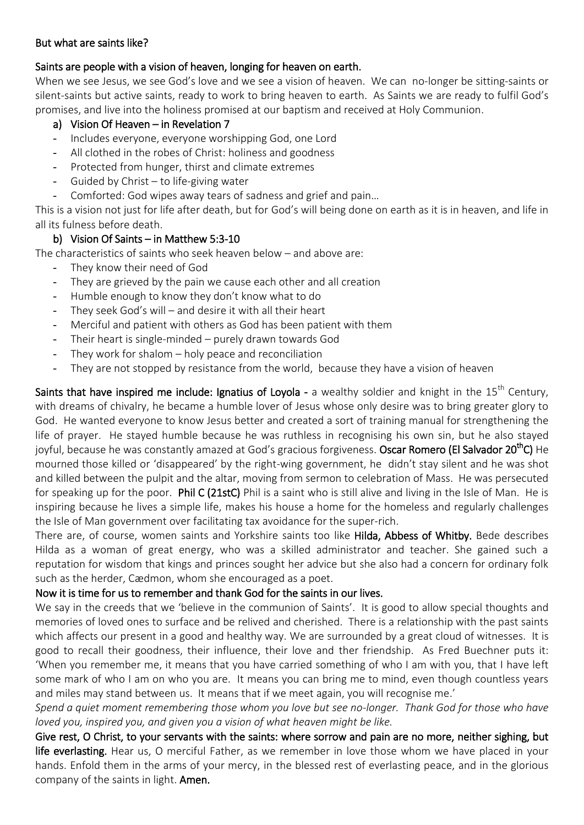### But what are saints like?

# Saints are people with a vision of heaven, longing for heaven on earth.

When we see Jesus, we see God's love and we see a vision of heaven. We can no-longer be sitting-saints or silent-saints but active saints, ready to work to bring heaven to earth. As Saints we are ready to fulfil God's promises, and live into the holiness promised at our baptism and received at Holy Communion.

## a) Vision Of Heaven – in Revelation 7

- Includes everyone, everyone worshipping God, one Lord
- All clothed in the robes of Christ: holiness and goodness
- Protected from hunger, thirst and climate extremes
- Guided by Christ  $-$  to life-giving water
- Comforted: God wipes away tears of sadness and grief and pain…

This is a vision not just for life after death, but for God's will being done on earth as it is in heaven, and life in all its fulness before death.

# b) Vision Of Saints – in Matthew 5:3-10

The characteristics of saints who seek heaven below – and above are:

- They know their need of God
- They are grieved by the pain we cause each other and all creation
- Humble enough to know they don't know what to do
- They seek God's will  $-$  and desire it with all their heart
- Merciful and patient with others as God has been patient with them
- Their heart is single-minded purely drawn towards God
- They work for shalom  $-$  holy peace and reconciliation
- They are not stopped by resistance from the world, because they have a vision of heaven

Saints that have inspired me include: Ignatius of Loyola - a wealthy soldier and knight in the  $15<sup>th</sup>$  Century, with dreams of chivalry, he became a humble lover of Jesus whose only desire was to bring greater glory to God. He wanted everyone to know Jesus better and created a sort of training manual for strengthening the life of prayer. He stayed humble because he was ruthless in recognising his own sin, but he also stayed joyful, because he was constantly amazed at God's gracious forgiveness. Oscar Romero (El Salvador 20<sup>th</sup>C) He mourned those killed or 'disappeared' by the right-wing government, he didn't stay silent and he was shot and killed between the pulpit and the altar, moving from sermon to celebration of Mass. He was persecuted for speaking up for the poor. Phil C (21stC) Phil is a saint who is still alive and living in the Isle of Man. He is inspiring because he lives a simple life, makes his house a home for the homeless and regularly challenges the Isle of Man government over facilitating tax avoidance for the super-rich.

There are, of course, women saints and Yorkshire saints too like Hilda, Abbess of Whitby. Bede describes Hilda as a woman of great energy, who was a skilled administrator and teacher. She gained such a reputation for wisdom that kings and princes sought her advice but she also had a concern for ordinary folk such as the herder, Cædmon, whom she encouraged as a poet.

# Now it is time for us to remember and thank God for the saints in our lives.

We say in the creeds that we 'believe in the communion of Saints'. It is good to allow special thoughts and memories of loved ones to surface and be relived and cherished. There is a relationship with the past saints which affects our present in a good and healthy way. We are surrounded by a great cloud of witnesses. It is good to recall their goodness, their influence, their love and ther friendship. As Fred Buechner puts it: 'When you remember me, it means that you have carried something of who I am with you, that I have left some mark of who I am on who you are. It means you can bring me to mind, even though countless years and miles may stand between us. It means that if we meet again, you will recognise me.'

*Spend a quiet moment remembering those whom you love but see no-longer. Thank God for those who have loved you, inspired you, and given you a vision of what heaven might be like.*

Give rest, O Christ, to your servants with the saints: where sorrow and pain are no more, neither sighing, but life everlasting. Hear us, O merciful Father, as we remember in love those whom we have placed in your hands. Enfold them in the arms of your mercy, in the blessed rest of everlasting peace, and in the glorious company of the saints in light. Amen.